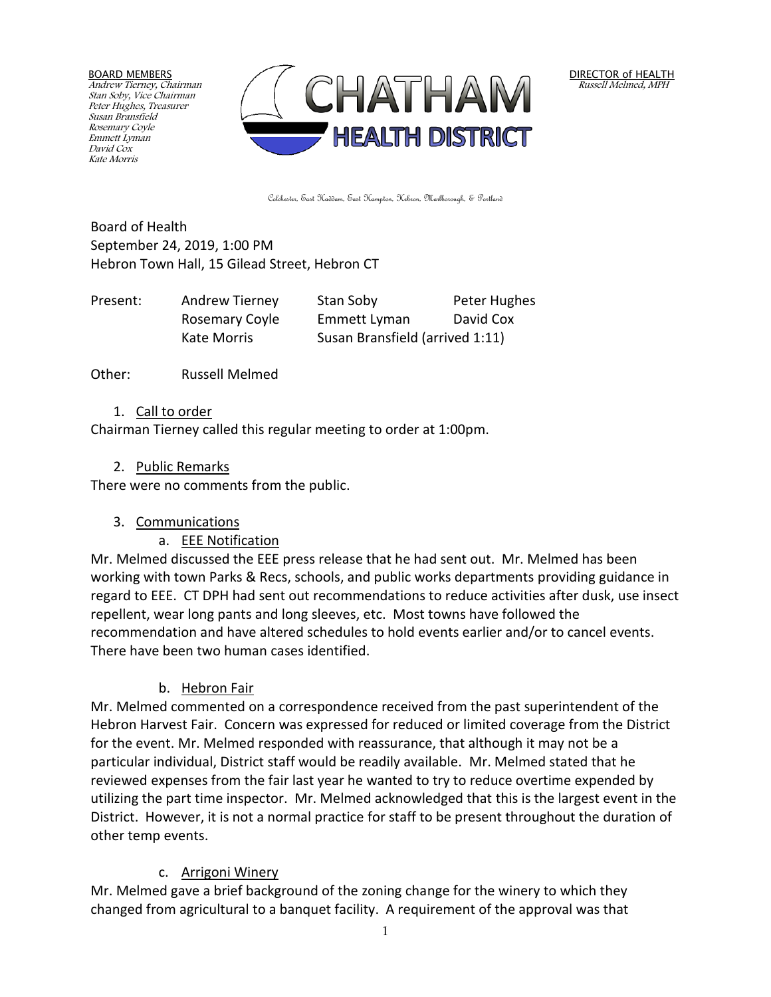BOARD MEMBERS Andrew Tierney, Chairman Stan Soby, Vice Chairman Peter Hughes, Treasurer Susan Bransfield Rosemary Coyle Emmett Lyman David Cox Kate Morris



DIRECTOR of HEALTH Russell Melmed, MPH

Colchester, East Haddam, East Hampton, Hebron, Marlborough, & Portland

Board of Health September 24, 2019, 1:00 PM Hebron Town Hall, 15 Gilead Street, Hebron CT

| Present: | Andrew Tierney | Stan Soby                       | Peter Hughes |
|----------|----------------|---------------------------------|--------------|
|          | Rosemary Coyle | Emmett Lyman                    | David Cox    |
|          | Kate Morris    | Susan Bransfield (arrived 1:11) |              |

Other: Russell Melmed

#### 1. Call to order

Chairman Tierney called this regular meeting to order at 1:00pm.

#### 2. Public Remarks

There were no comments from the public.

#### 3. Communications

a. EEE Notification

Mr. Melmed discussed the EEE press release that he had sent out. Mr. Melmed has been working with town Parks & Recs, schools, and public works departments providing guidance in regard to EEE. CT DPH had sent out recommendations to reduce activities after dusk, use insect repellent, wear long pants and long sleeves, etc. Most towns have followed the recommendation and have altered schedules to hold events earlier and/or to cancel events. There have been two human cases identified.

#### b. Hebron Fair

Mr. Melmed commented on a correspondence received from the past superintendent of the Hebron Harvest Fair. Concern was expressed for reduced or limited coverage from the District for the event. Mr. Melmed responded with reassurance, that although it may not be a particular individual, District staff would be readily available. Mr. Melmed stated that he reviewed expenses from the fair last year he wanted to try to reduce overtime expended by utilizing the part time inspector. Mr. Melmed acknowledged that this is the largest event in the District. However, it is not a normal practice for staff to be present throughout the duration of other temp events.

#### c. Arrigoni Winery

Mr. Melmed gave a brief background of the zoning change for the winery to which they changed from agricultural to a banquet facility. A requirement of the approval was that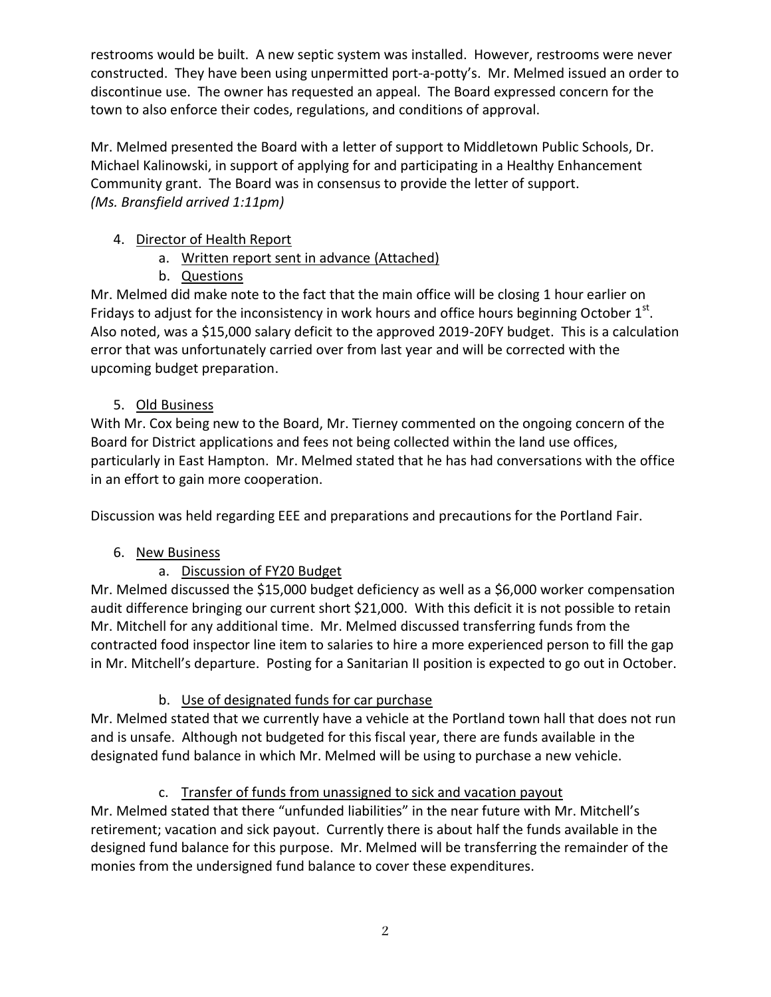restrooms would be built. A new septic system was installed. However, restrooms were never constructed. They have been using unpermitted port-a-potty's. Mr. Melmed issued an order to discontinue use. The owner has requested an appeal. The Board expressed concern for the town to also enforce their codes, regulations, and conditions of approval.

Mr. Melmed presented the Board with a letter of support to Middletown Public Schools, Dr. Michael Kalinowski, in support of applying for and participating in a Healthy Enhancement Community grant. The Board was in consensus to provide the letter of support. *(Ms. Bransfield arrived 1:11pm)*

## 4. Director of Health Report

- a. Written report sent in advance (Attached)
- b. Questions

Mr. Melmed did make note to the fact that the main office will be closing 1 hour earlier on Fridays to adjust for the inconsistency in work hours and office hours beginning October  $1<sup>st</sup>$ . Also noted, was a \$15,000 salary deficit to the approved 2019-20FY budget. This is a calculation error that was unfortunately carried over from last year and will be corrected with the upcoming budget preparation.

## 5. Old Business

With Mr. Cox being new to the Board, Mr. Tierney commented on the ongoing concern of the Board for District applications and fees not being collected within the land use offices, particularly in East Hampton. Mr. Melmed stated that he has had conversations with the office in an effort to gain more cooperation.

Discussion was held regarding EEE and preparations and precautions for the Portland Fair.

# 6. New Business

# a. Discussion of FY20 Budget

Mr. Melmed discussed the \$15,000 budget deficiency as well as a \$6,000 worker compensation audit difference bringing our current short \$21,000. With this deficit it is not possible to retain Mr. Mitchell for any additional time. Mr. Melmed discussed transferring funds from the contracted food inspector line item to salaries to hire a more experienced person to fill the gap in Mr. Mitchell's departure. Posting for a Sanitarian II position is expected to go out in October.

# b. Use of designated funds for car purchase

Mr. Melmed stated that we currently have a vehicle at the Portland town hall that does not run and is unsafe. Although not budgeted for this fiscal year, there are funds available in the designated fund balance in which Mr. Melmed will be using to purchase a new vehicle.

# c. Transfer of funds from unassigned to sick and vacation payout

Mr. Melmed stated that there "unfunded liabilities" in the near future with Mr. Mitchell's retirement; vacation and sick payout. Currently there is about half the funds available in the designed fund balance for this purpose. Mr. Melmed will be transferring the remainder of the monies from the undersigned fund balance to cover these expenditures.